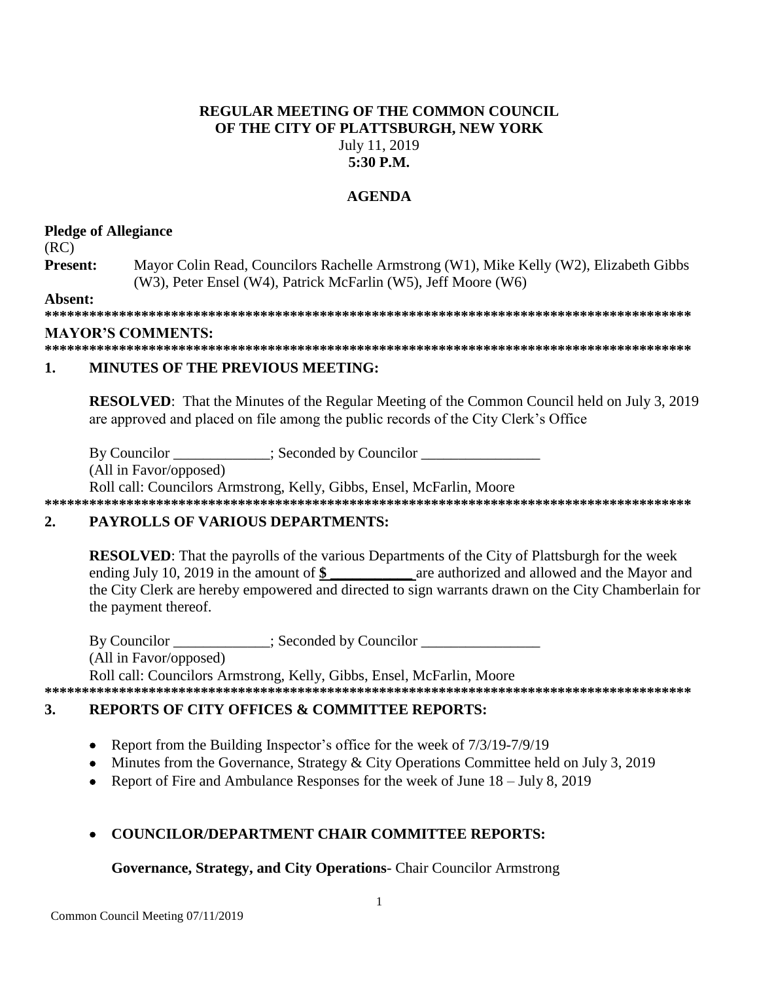### **REGULAR MEETING OF THE COMMON COUNCIL** OF THE CITY OF PLATTSBURGH, NEW YORK July 11, 2019  $5:30$  P.M.

### **AGENDA**

### **Pledge of Allegiance**

 $(RC)$ 

Present: Mayor Colin Read, Councilors Rachelle Armstrong (W1), Mike Kelly (W2), Elizabeth Gibbs (W3), Peter Ensel (W4), Patrick McFarlin (W5), Jeff Moore (W6)

Absent:

### **MAYOR'S COMMENTS:**

#### $\mathbf{1}$ **MINUTES OF THE PREVIOUS MEETING:**

**RESOLVED:** That the Minutes of the Regular Meeting of the Common Council held on July 3, 2019 are approved and placed on file among the public records of the City Clerk's Office

By Councilor \_\_\_\_\_\_\_\_\_\_\_; Seconded by Councilor \_\_\_\_\_

(All in Favor/opposed)

Roll call: Councilors Armstrong, Kelly, Gibbs, Ensel, McFarlin, Moore 

### $2.$ **PAYROLLS OF VARIOUS DEPARTMENTS:**

**RESOLVED:** That the payrolls of the various Departments of the City of Plattsburgh for the week ending July 10, 2019 in the amount of \$ are authorized and allowed and the Mayor and the City Clerk are hereby empowered and directed to sign warrants drawn on the City Chamberlain for the payment thereof.

By Councilor : Seconded by Councilor (All in Favor/opposed) Roll call: Councilors Armstrong, Kelly, Gibbs, Ensel, McFarlin, Moore

### $\mathbf{3}$ . **REPORTS OF CITY OFFICES & COMMITTEE REPORTS:**

- Report from the Building Inspector's office for the week of 7/3/19-7/9/19  $\bullet$
- Minutes from the Governance, Strategy & City Operations Committee held on July 3, 2019
- Report of Fire and Ambulance Responses for the week of June  $18 \text{July } 8, 2019$

# **COUNCILOR/DEPARTMENT CHAIR COMMITTEE REPORTS:**

# Governance, Strategy, and City Operations- Chair Councilor Armstrong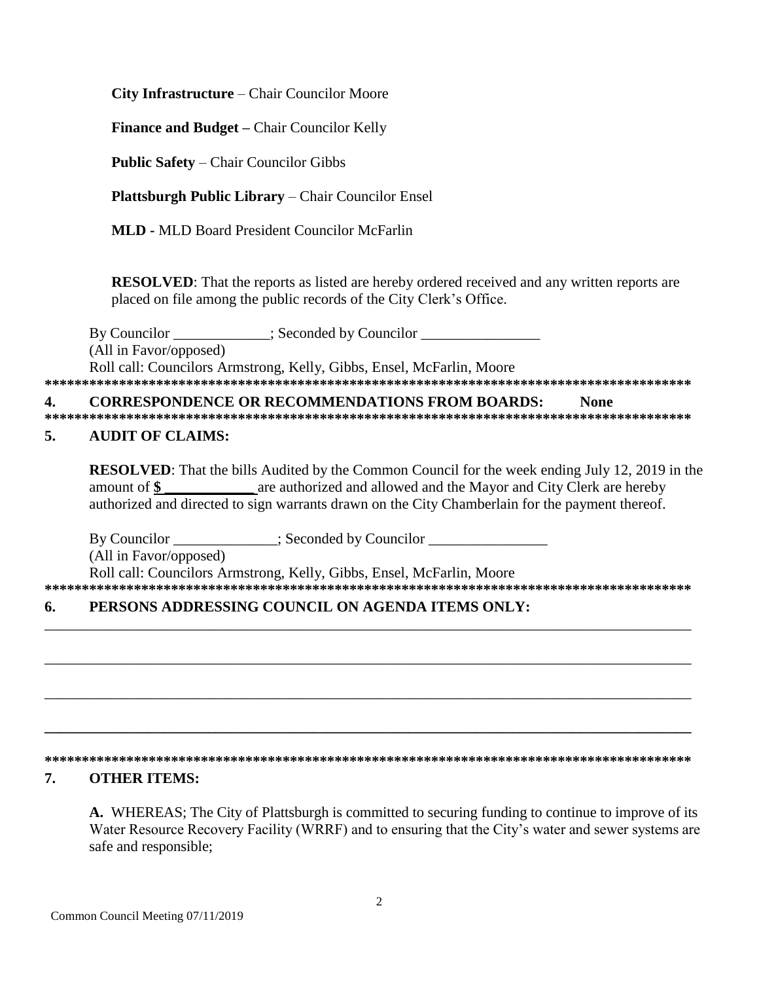**City Infrastructure** – Chair Councilor Moore

**Finance and Budget – Chair Councilor Kelly** 

**Public Safety – Chair Councilor Gibbs** 

**Plattsburgh Public Library** – Chair Councilor Ensel

**MLD - MLD Board President Councilor McFarlin** 

**RESOLVED:** That the reports as listed are hereby ordered received and any written reports are placed on file among the public records of the City Clerk's Office.

\_\_\_\_\_\_\_\_; Seconded by Councilor \_\_\_\_\_\_\_\_ By Councilor (All in Favor/opposed) Roll call: Councilors Armstrong, Kelly, Gibbs, Ensel, McFarlin, Moore 

#### **CORRESPONDENCE OR RECOMMENDATIONS FROM BOARDS:** 4. **None**

#### 5. **AUDIT OF CLAIMS:**

**RESOLVED:** That the bills Audited by the Common Council for the week ending July 12, 2019 in the are authorized and allowed and the Mayor and City Clerk are hereby amount of  $\$$ authorized and directed to sign warrants drawn on the City Chamberlain for the payment thereof.

Seconded by Councilor By Councilor

(All in Favor/opposed)

Roll call: Councilors Armstrong, Kelly, Gibbs, Ensel, McFarlin, Moore 

### PERSONS ADDRESSING COUNCIL ON AGENDA ITEMS ONLY: 6.

### 

### 7. **OTHER ITEMS:**

A. WHEREAS; The City of Plattsburgh is committed to securing funding to continue to improve of its Water Resource Recovery Facility (WRRF) and to ensuring that the City's water and sewer systems are safe and responsible;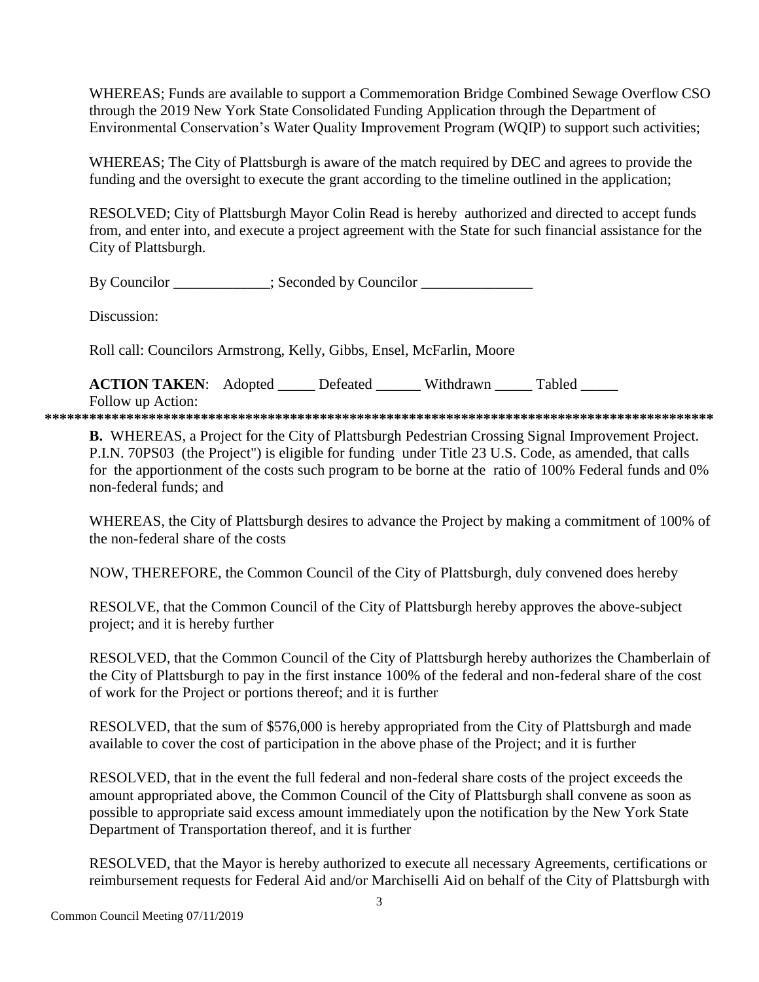WHEREAS; Funds are available to support a Commemoration Bridge Combined Sewage Overflow CSO through the 2019 New York State Consolidated Funding Application through the Department of Environmental Conservation's Water Quality Improvement Program (WOIP) to support such activities;

WHEREAS; The City of Plattsburgh is aware of the match required by DEC and agrees to provide the funding and the oversight to execute the grant according to the timeline outlined in the application;

RESOLVED; City of Plattsburgh Mayor Colin Read is hereby authorized and directed to accept funds from, and enter into, and execute a project agreement with the State for such financial assistance for the City of Plattsburgh.

By Councilor : Seconded by Councilor

Discussion<sup>.</sup>

Roll call: Councilors Armstrong, Kelly, Gibbs, Ensel, McFarlin, Moore

**ACTION TAKEN:** Adopted Defeated Withdrawn Tabled Follow up Action:

**B.** WHEREAS, a Project for the City of Plattsburgh Pedestrian Crossing Signal Improvement Project. P.I.N. 70PS03 (the Project") is eligible for funding under Title 23 U.S. Code, as amended, that calls for the apportionment of the costs such program to be borne at the ratio of 100% Federal funds and 0% non-federal funds: and

WHEREAS, the City of Plattsburgh desires to advance the Project by making a commitment of 100% of the non-federal share of the costs

NOW, THEREFORE, the Common Council of the City of Plattsburgh, duly convened does hereby

RESOLVE, that the Common Council of the City of Plattsburgh hereby approves the above-subject project; and it is hereby further

RESOLVED, that the Common Council of the City of Plattsburgh hereby authorizes the Chamberlain of the City of Plattsburgh to pay in the first instance 100% of the federal and non-federal share of the cost of work for the Project or portions thereof; and it is further

RESOLVED, that the sum of \$576,000 is hereby appropriated from the City of Plattsburgh and made available to cover the cost of participation in the above phase of the Project; and it is further

RESOLVED, that in the event the full federal and non-federal share costs of the project exceeds the amount appropriated above, the Common Council of the City of Plattsburgh shall convene as soon as possible to appropriate said excess amount immediately upon the notification by the New York State Department of Transportation thereof, and it is further

RESOLVED, that the Mayor is hereby authorized to execute all necessary Agreements, certifications or reimbursement requests for Federal Aid and/or Marchiselli Aid on behalf of the City of Plattsburgh with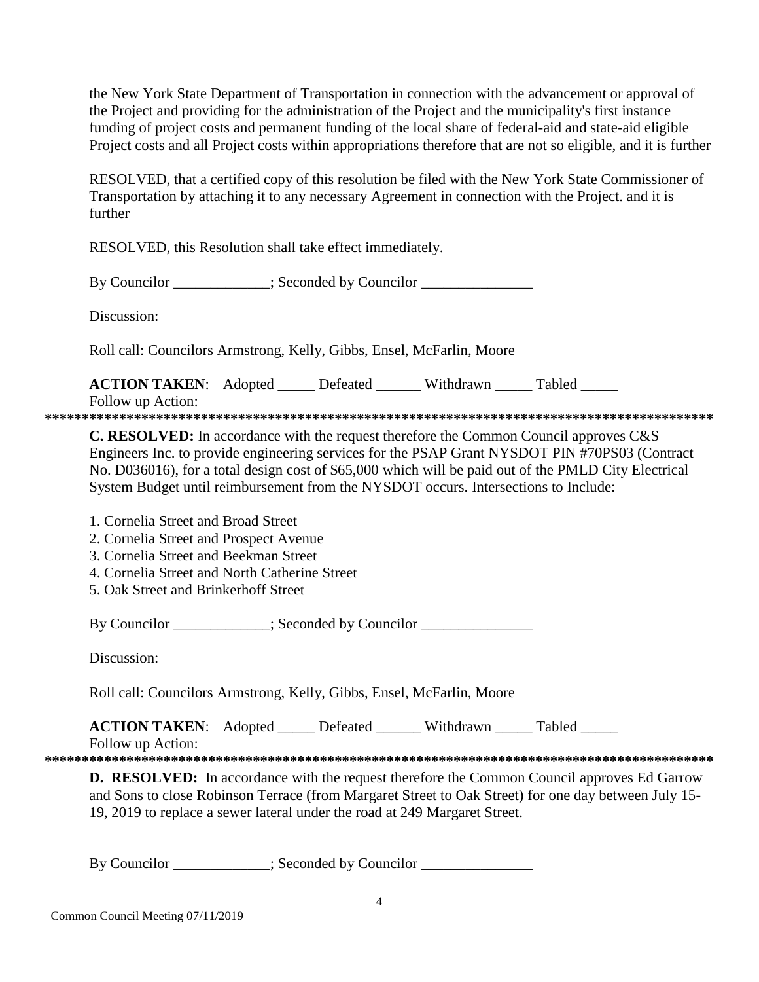the New York State Department of Transportation in connection with the advancement or approval of the Project and providing for the administration of the Project and the municipality's first instance funding of project costs and permanent funding of the local share of federal-aid and state-aid eligible Project costs and all Project costs within appropriations therefore that are not so eligible, and it is further

RESOLVED, that a certified copy of this resolution be filed with the New York State Commissioner of Transportation by attaching it to any necessary Agreement in connection with the Project. and it is further

RESOLVED, this Resolution shall take effect immediately.

By Councilor  $\qquad \qquad$ : Seconded by Councilor

Discussion:

Roll call: Councilors Armstrong, Kelly, Gibbs, Ensel, McFarlin, Moore

**ACTION TAKEN:** Adopted Defeated Withdrawn Tabled Follow up Action:

**\*\*\*\*\*\*\*\*\*\*\*\*\*\*\*\*\*\*\*\*\*\*\*\*\*\*\*\*\*\*\*\*\*\*\*\*\*\*\*\*\*\*\*\*\*\*\*\*\*\*\*\*\*\*\*\*\*\*\*\*\*\*\*\*\*\*\*\*\*\*\*\*\*\*\*\*\*\*\*\*\*\*\*\*\*\*\*\*\*\***

**C. RESOLVED:** In accordance with the request therefore the Common Council approves C&S Engineers Inc. to provide engineering services for the PSAP Grant NYSDOT PIN #70PS03 (Contract No. D036016), for a total design cost of \$65,000 which will be paid out of the PMLD City Electrical System Budget until reimbursement from the NYSDOT occurs. Intersections to Include:

1. Cornelia Street and Broad Street

2. Cornelia Street and Prospect Avenue

3. Cornelia Street and Beekman Street

4. Cornelia Street and North Catherine Street

5. Oak Street and Brinkerhoff Street

By Councilor \_\_\_\_\_\_\_\_\_\_; Seconded by Councilor \_\_\_\_\_\_\_\_\_\_\_\_\_\_\_\_\_\_\_\_\_\_\_\_\_\_\_\_\_\_\_\_\_

Discussion:

Roll call: Councilors Armstrong, Kelly, Gibbs, Ensel, McFarlin, Moore

**ACTION TAKEN:** Adopted Defeated Withdrawn Tabled

Follow up Action:

**\*\*\*\*\*\*\*\*\*\*\*\*\*\*\*\*\*\*\*\*\*\*\*\*\*\*\*\*\*\*\*\*\*\*\*\*\*\*\*\*\*\*\*\*\*\*\*\*\*\*\*\*\*\*\*\*\*\*\*\*\*\*\*\*\*\*\*\*\*\*\*\*\*\*\*\*\*\*\*\*\*\*\*\*\*\*\*\*\*\***

**D. RESOLVED:** In accordance with the request therefore the Common Council approves Ed Garrow and Sons to close Robinson Terrace (from Margaret Street to Oak Street) for one day between July 15- 19, 2019 to replace a sewer lateral under the road at 249 Margaret Street.

By Councilor \_\_\_\_\_\_\_\_\_\_; Seconded by Councilor \_\_\_\_\_\_\_\_\_\_\_\_\_\_\_\_\_\_\_\_\_\_\_\_\_\_\_\_\_\_\_\_\_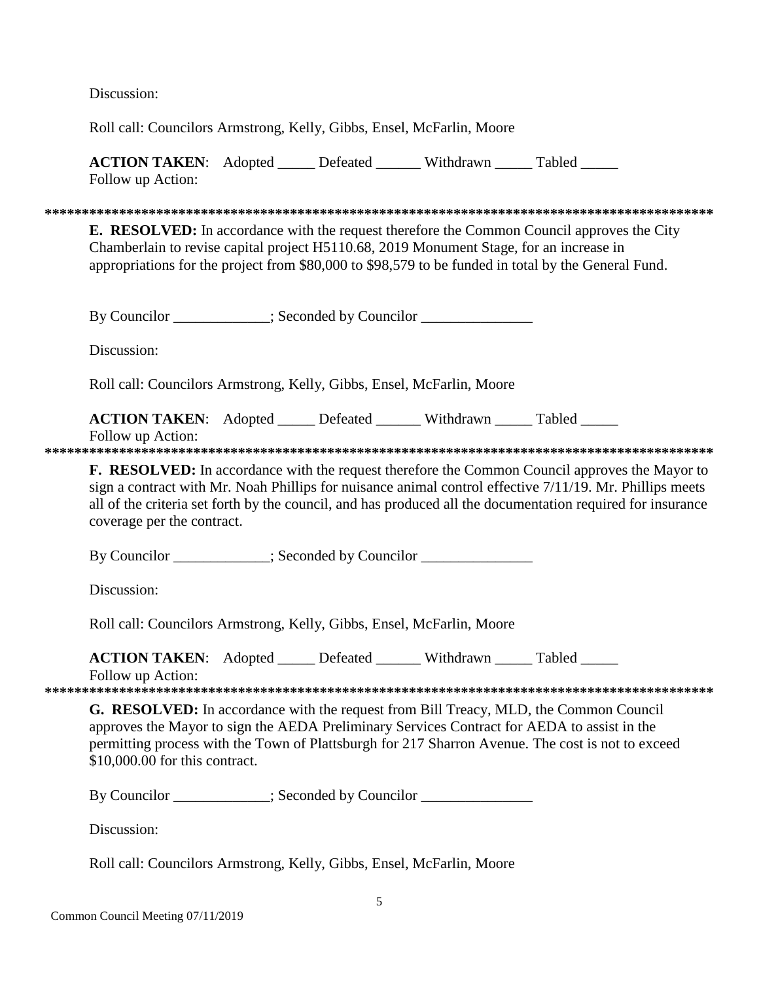Discussion:

Roll call: Councilors Armstrong, Kelly, Gibbs, Ensel, McFarlin, Moore

**ACTION TAKEN:** Adopted Defeated Withdrawn Tabled Follow up Action:

**E. RESOLVED:** In accordance with the request therefore the Common Council approves the City Chamberlain to revise capital project H5110.68, 2019 Monument Stage, for an increase in appropriations for the project from \$80,000 to \$98,579 to be funded in total by the General Fund.

By Councilor : Seconded by Councilor

Discussion:

Roll call: Councilors Armstrong, Kelly, Gibbs, Ensel, McFarlin, Moore

ACTION TAKEN: Adopted \_\_\_\_\_ Defeated \_\_\_\_\_\_ Withdrawn \_\_\_\_ Tabled Follow up Action:

**F. RESOLVED:** In accordance with the request therefore the Common Council approves the Mayor to sign a contract with Mr. Noah Phillips for nuisance animal control effective 7/11/19. Mr. Phillips meets all of the criteria set forth by the council, and has produced all the documentation required for insurance coverage per the contract.

By Councilor \_\_\_\_\_\_\_\_\_\_\_\_; Seconded by Councilor \_\_\_\_\_\_\_\_\_\_\_\_\_\_\_\_\_\_\_\_\_\_\_\_\_\_\_\_\_\_\_

Discussion:

Roll call: Councilors Armstrong, Kelly, Gibbs, Ensel, McFarlin, Moore

**ACTION TAKEN:** Adopted \_\_\_\_\_ Defeated \_\_\_\_\_\_ Withdrawn \_\_\_\_\_ Tabled \_\_\_\_\_

Follow up Action:

G. RESOLVED: In accordance with the request from Bill Treacy, MLD, the Common Council approves the Mayor to sign the AEDA Preliminary Services Contract for AEDA to assist in the permitting process with the Town of Plattsburgh for 217 Sharron Avenue. The cost is not to exceed  $$10,000,00$  for this contract.

By Councilor \_\_\_\_\_\_\_\_\_\_; Seconded by Councilor \_\_\_\_\_\_\_\_\_\_\_\_\_\_\_

Discussion:

Roll call: Councilors Armstrong, Kelly, Gibbs, Ensel, McFarlin, Moore